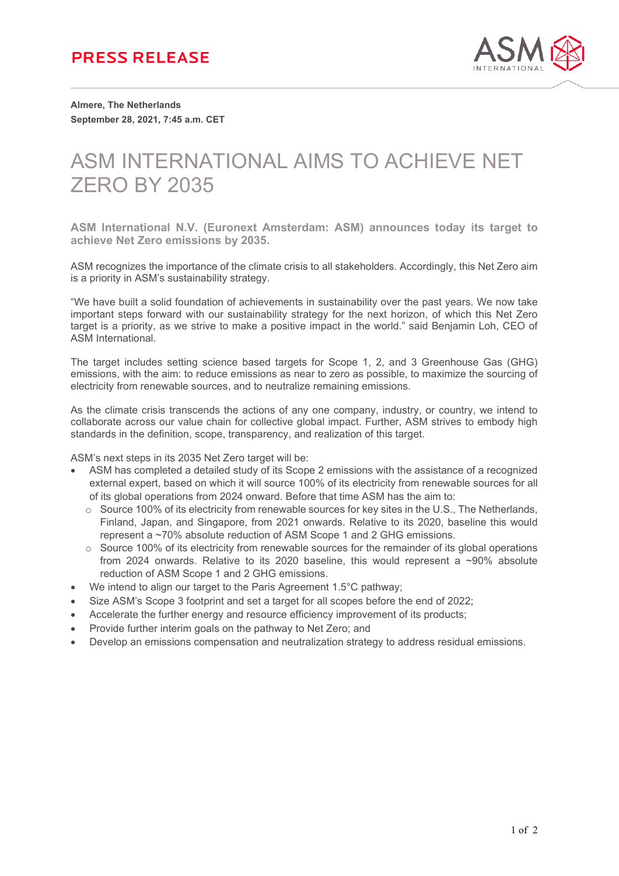

**Almere, The Netherlands September 28, 2021, 7:45 a.m. CET**

## ASM INTERNATIONAL AIMS TO ACHIEVE NET ZERO BY 2035

**ASM International N.V. (Euronext Amsterdam: ASM) announces today its target to achieve Net Zero emissions by 2035.**

ASM recognizes the importance of the climate crisis to all stakeholders. Accordingly, this Net Zero aim is a priority in ASM's sustainability strategy.

"We have built a solid foundation of achievements in sustainability over the past years. We now take important steps forward with our sustainability strategy for the next horizon, of which this Net Zero target is a priority, as we strive to make a positive impact in the world." said Benjamin Loh, CEO of ASM International.

The target includes setting science based targets for Scope 1, 2, and 3 Greenhouse Gas (GHG) emissions, with the aim: to reduce emissions as near to zero as possible, to maximize the sourcing of electricity from renewable sources, and to neutralize remaining emissions.

As the climate crisis transcends the actions of any one company, industry, or country, we intend to collaborate across our value chain for collective global impact. Further, ASM strives to embody high standards in the definition, scope, transparency, and realization of this target.

ASM's next steps in its 2035 Net Zero target will be:

- ASM has completed a detailed study of its Scope 2 emissions with the assistance of a recognized external expert, based on which it will source 100% of its electricity from renewable sources for all of its global operations from 2024 onward. Before that time ASM has the aim to:
	- $\circ$  Source 100% of its electricity from renewable sources for key sites in the U.S., The Netherlands, Finland, Japan, and Singapore, from 2021 onwards. Relative to its 2020, baseline this would represent a ~70% absolute reduction of ASM Scope 1 and 2 GHG emissions.
	- o Source 100% of its electricity from renewable sources for the remainder of its global operations from 2024 onwards. Relative to its 2020 baseline, this would represent a ~90% absolute reduction of ASM Scope 1 and 2 GHG emissions.
- We intend to align our target to the Paris Agreement 1.5°C pathway;
- Size ASM's Scope 3 footprint and set a target for all scopes before the end of 2022;
- Accelerate the further energy and resource efficiency improvement of its products;
- Provide further interim goals on the pathway to Net Zero; and
- Develop an emissions compensation and neutralization strategy to address residual emissions.